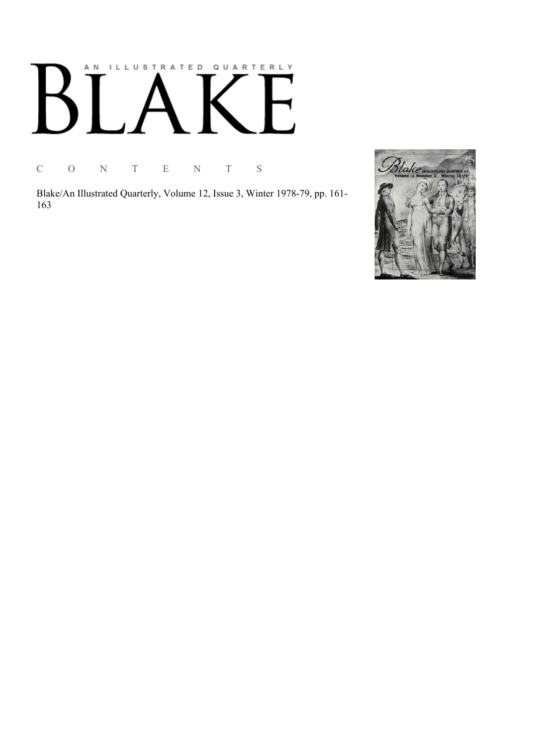# AN ILLUSTRATED QUARTERLY К

C O N T E N T S

Blake/An Illustrated Quarterly, Volume 12, Issue 3, Winter 1978-79, pp. 161-163

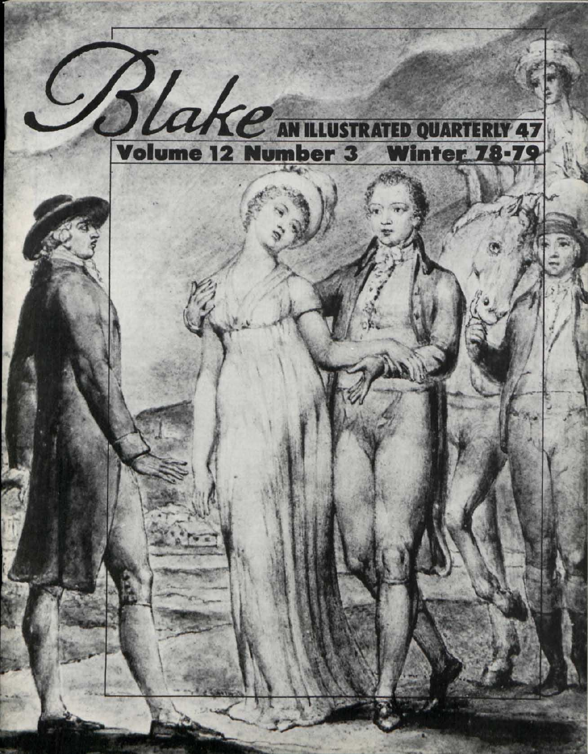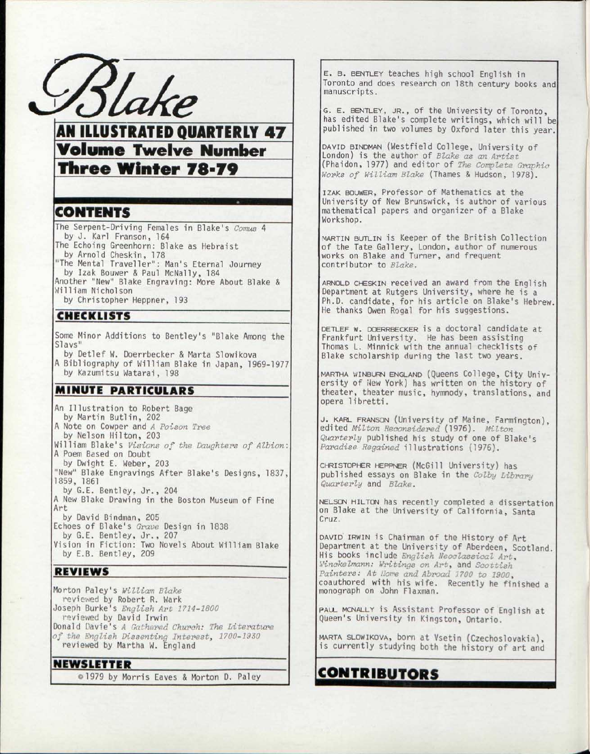

AN ILLUSTRATED QUARTERLY 47 **Volume Twelve Number** Three Winter 78-79

#### CONTENTS

The Serpent-Driving Females in Blake's Comus 4 by J. Karl Franson, 164

The Echoing Greenhorn: Blake as Hebraist by Arnold Cheskin, 178

"The Mental Traveller" : Man's Eternal Journey by Izak Bouwer & Paul McNally, 184

Another "New" Blake Engraving: More About Blake &

William Nicholson by Christopher Heppner, 193

### CHECKLISTS

Some Minor Additions to Bentley's "Blake Among the Slavs"

by Detlef W. Doerrbecker & Marta Slowikova A Bibliography of William Blake in Japan, 1969-1977 by Kazumitsu Watarai, 198

# MINUTE PARTICULARS

An Illustration to Robert Bage by Martin Butlin, 202 A Note on Cowper and *A Poison Tree*  by Nelson Hilton, 203 William Blake's Visions of the Daughters of Albion: A Poem Based on Doubt by Dwight E. Weber, 203 "New" Blake Engravings After Blake's Designs, 1837, 1859, 1861 by G.E. Bentley, Jr., 204 A New Blake Drawing in the Boston Museum of Fine **Art** by David Bindman, 205 Echoes of Blake's *Grave* Design in 1838 by G.E. Bentley, Jr., 207 Vision in Fiction: Two Novels About William Blake by E.B. Bentley, 209

#### REVIEWS

Morton Paley's *William Blake*  reviewed by Robert R. Wark Joseph Burke's *English Art 1714-1800*  reviewed by David Irwin Donald Davie's A Gathered Church: The Literature *of the English Dissenting Interesty 1700-1920*  reviewed by Martha W. England

#### NEWSLETTER

©1979 by Morris Eaves & Morton D. Paley

E. B. BENTLEY teaches high school English in Toronto and does research on 18th century books and manuscripts.

G. E. BENTLEY, JR., of the University of Toronto, has edited Blake's complete writings, which will be published in two volumes by Oxford later this year.

DAVID BINDMAN (Westfield College, University of London) is the author of *Blake as an Artist*  (Phaidon, 1977) and editor of *The Complete Graphic Works of William Blake* (Thames & Hudson, 1978).

IZAK BOUWER, Professor of Mathematics at the University of New Brunswick, is author of various mathematical papers and organizer of a Blake Workshop.

MARTIN BUTLIN is Keeper of the British Collection of the Tate Gallery, London, author of numerous works on Blake and Turner, and frequent contributor to *Blake.* 

ARNOLD CHESKIN received an award from the English Department at Rutgers University, where he is a Ph.D. candidate, for his article on Blake's Hebrew. He thanks Owen Rogal for his suggestions.

DETLEF w. DOERRBECKER is a doctoral candidate at Frankfurt University. He has been assisting Thomas L. Minnick with the annual checklists of Blake scholarship during the last two years.

MARTHA WINBURN ENGLAND (Queens College, City University of New York) has written on the history of theater, theater music, hymnody, translations, and opera libretti.

J. KARL FRANSON (University of Maine, Farmington), edited *Milton Reconsidered* (1976). *Milton Quarterly* published his study of one of Blake's *Paradise Regained* illustrations (1976).

CHRISTOPHER HEPPNER (McGill University) has published essays on Blake in the *Colby Library Quarterly* and *Blake.* 

NELSON HILTON has recently completed a dissertation on Blake at the University of California, Santa Cruz.

DAVID IRWIN is Chairman of the History of Art Department at the University of Aberdeen, Scotland. His books include *English Neoclassical Art, Winckelmann: Writings on Art,* and *Scottish*  Painters: At *Nome and Abroad 1700 to 1900*, coauthored with his wife. Recently he finished a monograph on John Flaxman.

PAUL MCNALLY is Assistant Professor of English at Queen's University in Kingston, Ontario.

MARTA SLOWIKOVA, born at Vsetin (Czechoslovakia), is currently studying both the history of art and

# CONTRIBUTORS